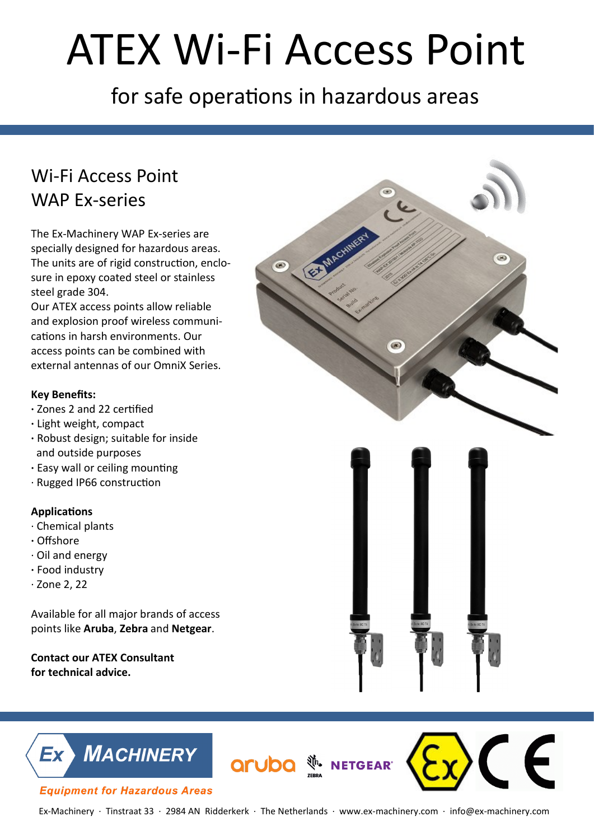# ATEX Wi-Fi Access Point

for safe operations in hazardous areas

## Wi-Fi Access Point WAP Ex-series

The Ex-Machinery WAP Ex-series are specially designed for hazardous areas. The units are of rigid construction, enclosure in epoxy coated steel or stainless steel grade 304.

Our ATEX access points allow reliable and explosion proof wireless communications in harsh environments. Our access points can be combined with external antennas of our OmniX Series.

### **Key Benefits:**

- **∙** Zones 2 and 22 certified
- **∙** Light weight, compact
- **∙** Robust design; suitable for inside and outside purposes
- **∙** Easy wall or ceiling mounting
- ∙ Rugged IP66 construction

### **Applications**

- ∙ Chemical plants
- **∙** Offshore
- ∙ Oil and energy
- **∙** Food industry
- ∙ Zone 2, 22

Available for all major brands of access points like **Aruba**, **Zebra** and **Netgear**.

**Contact our ATEX Consultant for technical advice.** 



 $\epsilon$ 



#### **Equipment for Hazardous Areas**

**Aruba Exercise AP**